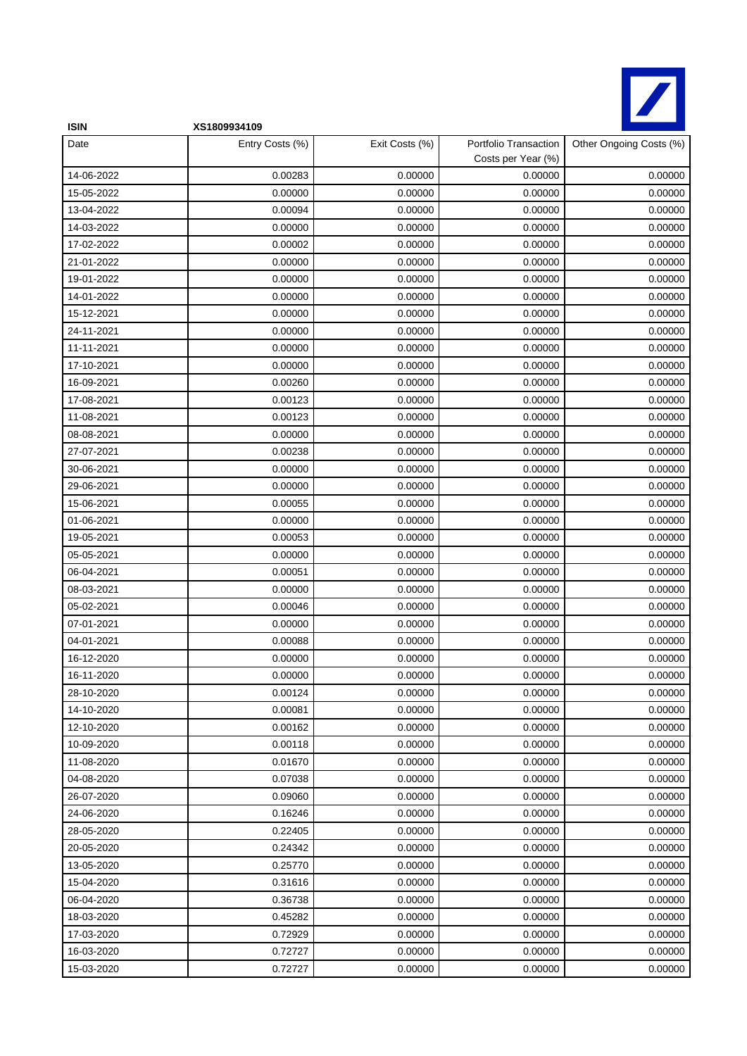

| <b>ISIN</b> | XS1809934109    |                |                                             |                         |
|-------------|-----------------|----------------|---------------------------------------------|-------------------------|
| Date        | Entry Costs (%) | Exit Costs (%) | Portfolio Transaction<br>Costs per Year (%) | Other Ongoing Costs (%) |
| 14-06-2022  | 0.00283         | 0.00000        | 0.00000                                     | 0.00000                 |
| 15-05-2022  | 0.00000         | 0.00000        | 0.00000                                     | 0.00000                 |
| 13-04-2022  | 0.00094         | 0.00000        | 0.00000                                     | 0.00000                 |
| 14-03-2022  | 0.00000         | 0.00000        | 0.00000                                     | 0.00000                 |
| 17-02-2022  | 0.00002         | 0.00000        | 0.00000                                     | 0.00000                 |
| 21-01-2022  | 0.00000         | 0.00000        | 0.00000                                     | 0.00000                 |
| 19-01-2022  | 0.00000         | 0.00000        | 0.00000                                     | 0.00000                 |
| 14-01-2022  | 0.00000         | 0.00000        | 0.00000                                     | 0.00000                 |
| 15-12-2021  | 0.00000         | 0.00000        | 0.00000                                     | 0.00000                 |
| 24-11-2021  | 0.00000         | 0.00000        | 0.00000                                     | 0.00000                 |
| 11-11-2021  | 0.00000         | 0.00000        | 0.00000                                     | 0.00000                 |
| 17-10-2021  | 0.00000         | 0.00000        | 0.00000                                     | 0.00000                 |
| 16-09-2021  | 0.00260         | 0.00000        | 0.00000                                     | 0.00000                 |
| 17-08-2021  | 0.00123         | 0.00000        | 0.00000                                     | 0.00000                 |
| 11-08-2021  | 0.00123         | 0.00000        | 0.00000                                     | 0.00000                 |
| 08-08-2021  | 0.00000         | 0.00000        | 0.00000                                     | 0.00000                 |
| 27-07-2021  | 0.00238         | 0.00000        | 0.00000                                     | 0.00000                 |
| 30-06-2021  | 0.00000         | 0.00000        | 0.00000                                     | 0.00000                 |
| 29-06-2021  | 0.00000         | 0.00000        | 0.00000                                     | 0.00000                 |
| 15-06-2021  | 0.00055         | 0.00000        | 0.00000                                     | 0.00000                 |
| 01-06-2021  | 0.00000         | 0.00000        | 0.00000                                     | 0.00000                 |
| 19-05-2021  | 0.00053         | 0.00000        | 0.00000                                     | 0.00000                 |
| 05-05-2021  | 0.00000         | 0.00000        | 0.00000                                     | 0.00000                 |
| 06-04-2021  | 0.00051         | 0.00000        | 0.00000                                     | 0.00000                 |
| 08-03-2021  | 0.00000         | 0.00000        | 0.00000                                     | 0.00000                 |
| 05-02-2021  | 0.00046         | 0.00000        | 0.00000                                     | 0.00000                 |
| 07-01-2021  | 0.00000         | 0.00000        | 0.00000                                     | 0.00000                 |
| 04-01-2021  | 0.00088         | 0.00000        | 0.00000                                     | 0.00000                 |
| 16-12-2020  | 0.00000         | 0.00000        | 0.00000                                     | 0.00000                 |
| 16-11-2020  | 0.00000         | 0.00000        | 0.00000                                     | 0.00000                 |
| 28-10-2020  | 0.00124         | 0.00000        | 0.00000                                     | 0.00000                 |
| 14-10-2020  | 0.00081         | 0.00000        | 0.00000                                     | 0.00000                 |
| 12-10-2020  | 0.00162         | 0.00000        | 0.00000                                     | 0.00000                 |
| 10-09-2020  | 0.00118         | 0.00000        | 0.00000                                     | 0.00000                 |
| 11-08-2020  | 0.01670         | 0.00000        | 0.00000                                     | 0.00000                 |
| 04-08-2020  | 0.07038         | 0.00000        | 0.00000                                     | 0.00000                 |
| 26-07-2020  | 0.09060         | 0.00000        | 0.00000                                     | 0.00000                 |
| 24-06-2020  | 0.16246         | 0.00000        | 0.00000                                     | 0.00000                 |
| 28-05-2020  | 0.22405         | 0.00000        | 0.00000                                     | 0.00000                 |
| 20-05-2020  | 0.24342         | 0.00000        | 0.00000                                     | 0.00000                 |
| 13-05-2020  | 0.25770         | 0.00000        | 0.00000                                     | 0.00000                 |
| 15-04-2020  | 0.31616         | 0.00000        | 0.00000                                     | 0.00000                 |
| 06-04-2020  | 0.36738         | 0.00000        | 0.00000                                     | 0.00000                 |
| 18-03-2020  | 0.45282         | 0.00000        | 0.00000                                     | 0.00000                 |
| 17-03-2020  | 0.72929         | 0.00000        | 0.00000                                     | 0.00000                 |
| 16-03-2020  | 0.72727         | 0.00000        | 0.00000                                     | 0.00000                 |
| 15-03-2020  | 0.72727         | 0.00000        | 0.00000                                     | 0.00000                 |